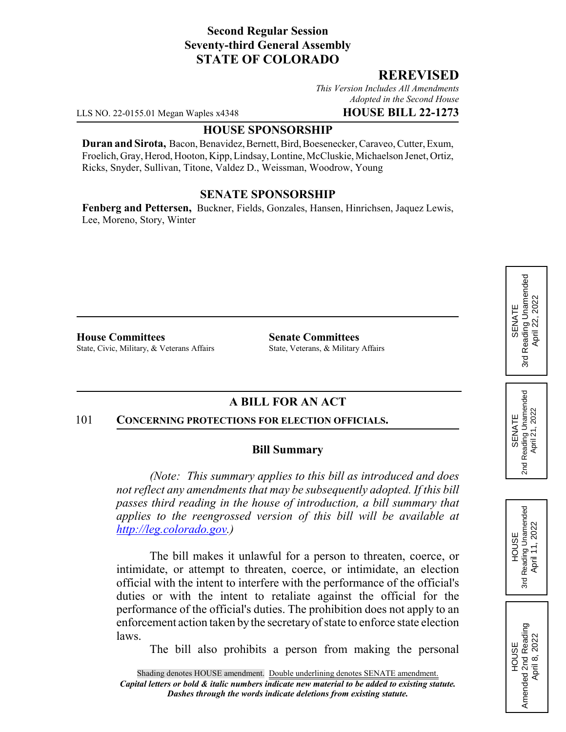# **Second Regular Session Seventy-third General Assembly STATE OF COLORADO**

## **REREVISED**

*This Version Includes All Amendments Adopted in the Second House*

LLS NO. 22-0155.01 Megan Waples x4348 **HOUSE BILL 22-1273**

### **HOUSE SPONSORSHIP**

**Duran and Sirota,** Bacon, Benavidez, Bernett, Bird, Boesenecker, Caraveo, Cutter, Exum, Froelich, Gray, Herod, Hooton, Kipp, Lindsay, Lontine, McCluskie, Michaelson Jenet, Ortiz, Ricks, Snyder, Sullivan, Titone, Valdez D., Weissman, Woodrow, Young

## **SENATE SPONSORSHIP**

**Fenberg and Pettersen,** Buckner, Fields, Gonzales, Hansen, Hinrichsen, Jaquez Lewis, Lee, Moreno, Story, Winter

**House Committees Senate Committees** State, Civic, Military, & Veterans Affairs State, Veterans, & Military Affairs

# **A BILL FOR AN ACT**

#### 101 **CONCERNING PROTECTIONS FOR ELECTION OFFICIALS.**

## **Bill Summary**

*(Note: This summary applies to this bill as introduced and does not reflect any amendments that may be subsequently adopted. If this bill passes third reading in the house of introduction, a bill summary that applies to the reengrossed version of this bill will be available at http://leg.colorado.gov.)*

The bill makes it unlawful for a person to threaten, coerce, or intimidate, or attempt to threaten, coerce, or intimidate, an election official with the intent to interfere with the performance of the official's duties or with the intent to retaliate against the official for the performance of the official's duties. The prohibition does not apply to an enforcement action taken by the secretary of state to enforce state election laws.

The bill also prohibits a person from making the personal



HOUSE<br>Amended 2nd Reading Amended 2nd Reading April 8, 2022

April 8, 2022

SENATE 2nd Reading Unamended April 21, 2022

Reading Unamended<br>April 21, 2022

2<sub>nd</sub>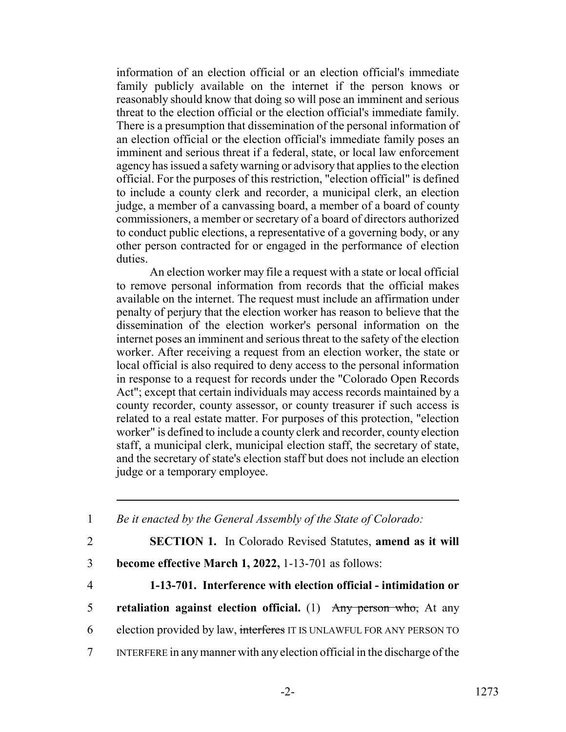information of an election official or an election official's immediate family publicly available on the internet if the person knows or reasonably should know that doing so will pose an imminent and serious threat to the election official or the election official's immediate family. There is a presumption that dissemination of the personal information of an election official or the election official's immediate family poses an imminent and serious threat if a federal, state, or local law enforcement agency has issued a safety warning or advisory that applies to the election official. For the purposes of this restriction, "election official" is defined to include a county clerk and recorder, a municipal clerk, an election judge, a member of a canvassing board, a member of a board of county commissioners, a member or secretary of a board of directors authorized to conduct public elections, a representative of a governing body, or any other person contracted for or engaged in the performance of election duties.

An election worker may file a request with a state or local official to remove personal information from records that the official makes available on the internet. The request must include an affirmation under penalty of perjury that the election worker has reason to believe that the dissemination of the election worker's personal information on the internet poses an imminent and serious threat to the safety of the election worker. After receiving a request from an election worker, the state or local official is also required to deny access to the personal information in response to a request for records under the "Colorado Open Records Act"; except that certain individuals may access records maintained by a county recorder, county assessor, or county treasurer if such access is related to a real estate matter. For purposes of this protection, "election worker" is defined to include a county clerk and recorder, county election staff, a municipal clerk, municipal election staff, the secretary of state, and the secretary of state's election staff but does not include an election judge or a temporary employee.

 *Be it enacted by the General Assembly of the State of Colorado:* **SECTION 1.** In Colorado Revised Statutes, **amend as it will become effective March 1, 2022,** 1-13-701 as follows: **1-13-701. Interference with election official - intimidation or retaliation against election official.** (1) Any person who, At any election provided by law, interferes IT IS UNLAWFUL FOR ANY PERSON TO INTERFERE in any manner with any election official in the discharge of the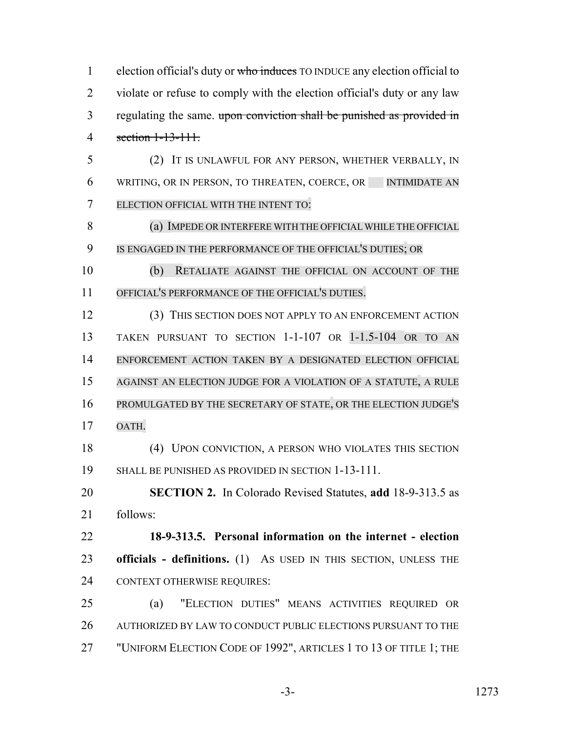1 election official's duty or who induces TO INDUCE any election official to violate or refuse to comply with the election official's duty or any law 3 regulating the same. upon conviction shall be punished as provided in section 1-13-111.

 (2) IT IS UNLAWFUL FOR ANY PERSON, WHETHER VERBALLY, IN 6 WRITING, OR IN PERSON, TO THREATEN, COERCE, OR INTIMIDATE AN ELECTION OFFICIAL WITH THE INTENT TO:

8 (a) IMPEDE OR INTERFERE WITH THE OFFICIAL WHILE THE OFFICIAL IS ENGAGED IN THE PERFORMANCE OF THE OFFICIAL'S DUTIES; OR

 (b) RETALIATE AGAINST THE OFFICIAL ON ACCOUNT OF THE OFFICIAL'S PERFORMANCE OF THE OFFICIAL'S DUTIES.

 (3) THIS SECTION DOES NOT APPLY TO AN ENFORCEMENT ACTION TAKEN PURSUANT TO SECTION 1-1-107 OR 1-1.5-104 OR TO AN ENFORCEMENT ACTION TAKEN BY A DESIGNATED ELECTION OFFICIAL AGAINST AN ELECTION JUDGE FOR A VIOLATION OF A STATUTE, A RULE PROMULGATED BY THE SECRETARY OF STATE, OR THE ELECTION JUDGE'S OATH.

 (4) UPON CONVICTION, A PERSON WHO VIOLATES THIS SECTION SHALL BE PUNISHED AS PROVIDED IN SECTION 1-13-111.

 **SECTION 2.** In Colorado Revised Statutes, **add** 18-9-313.5 as follows:

 **18-9-313.5. Personal information on the internet - election officials - definitions.** (1) AS USED IN THIS SECTION, UNLESS THE CONTEXT OTHERWISE REQUIRES:

 (a) "ELECTION DUTIES" MEANS ACTIVITIES REQUIRED OR AUTHORIZED BY LAW TO CONDUCT PUBLIC ELECTIONS PURSUANT TO THE 27 "UNIFORM ELECTION CODE OF 1992", ARTICLES 1 TO 13 OF TITLE 1; THE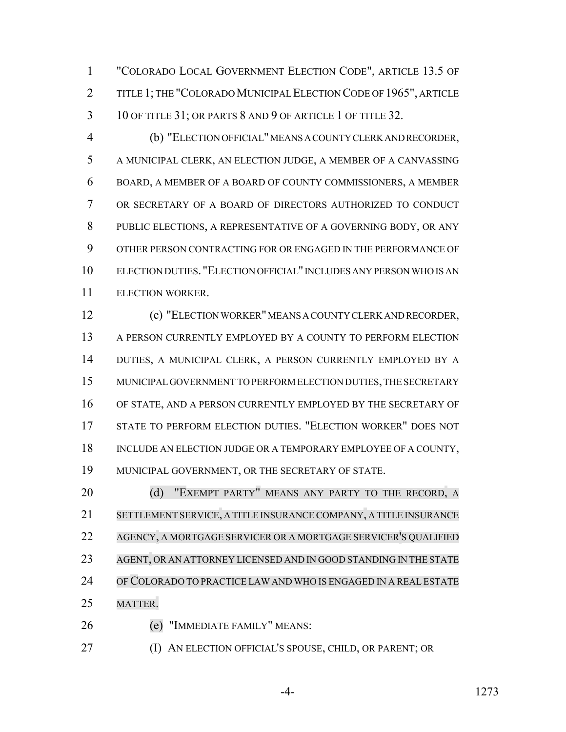"COLORADO LOCAL GOVERNMENT ELECTION CODE", ARTICLE 13.5 OF TITLE 1; THE "COLORADO MUNICIPAL ELECTION CODE OF 1965", ARTICLE 3 10 OF TITLE 31; OR PARTS 8 AND 9 OF ARTICLE 1 OF TITLE 32.

 (b) "ELECTION OFFICIAL" MEANS A COUNTY CLERK AND RECORDER, A MUNICIPAL CLERK, AN ELECTION JUDGE, A MEMBER OF A CANVASSING BOARD, A MEMBER OF A BOARD OF COUNTY COMMISSIONERS, A MEMBER OR SECRETARY OF A BOARD OF DIRECTORS AUTHORIZED TO CONDUCT PUBLIC ELECTIONS, A REPRESENTATIVE OF A GOVERNING BODY, OR ANY OTHER PERSON CONTRACTING FOR OR ENGAGED IN THE PERFORMANCE OF ELECTION DUTIES. "ELECTION OFFICIAL" INCLUDES ANY PERSON WHO IS AN ELECTION WORKER.

 (c) "ELECTION WORKER" MEANS A COUNTY CLERK AND RECORDER, A PERSON CURRENTLY EMPLOYED BY A COUNTY TO PERFORM ELECTION DUTIES, A MUNICIPAL CLERK, A PERSON CURRENTLY EMPLOYED BY A MUNICIPAL GOVERNMENT TO PERFORM ELECTION DUTIES, THE SECRETARY OF STATE, AND A PERSON CURRENTLY EMPLOYED BY THE SECRETARY OF STATE TO PERFORM ELECTION DUTIES. "ELECTION WORKER" DOES NOT 18 INCLUDE AN ELECTION JUDGE OR A TEMPORARY EMPLOYEE OF A COUNTY, MUNICIPAL GOVERNMENT, OR THE SECRETARY OF STATE.

20 (d) "EXEMPT PARTY" MEANS ANY PARTY TO THE RECORD, A SETTLEMENT SERVICE, A TITLE INSURANCE COMPANY, A TITLE INSURANCE AGENCY, A MORTGAGE SERVICER OR A MORTGAGE SERVICER'S QUALIFIED AGENT, OR AN ATTORNEY LICENSED AND IN GOOD STANDING IN THE STATE OFCOLORADO TO PRACTICE LAW AND WHO IS ENGAGED IN A REAL ESTATE MATTER.

(e) "IMMEDIATE FAMILY" MEANS:

(I) AN ELECTION OFFICIAL'S SPOUSE, CHILD, OR PARENT; OR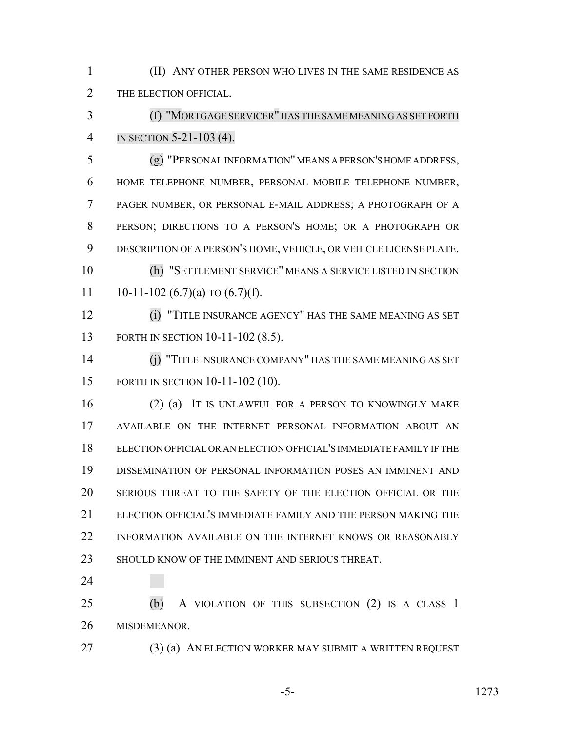(II) ANY OTHER PERSON WHO LIVES IN THE SAME RESIDENCE AS 2 THE ELECTION OFFICIAL.

 (f) "MORTGAGE SERVICER" HAS THE SAME MEANING AS SET FORTH IN SECTION 5-21-103 (4).

 (g) "PERSONAL INFORMATION" MEANS A PERSON'S HOME ADDRESS, HOME TELEPHONE NUMBER, PERSONAL MOBILE TELEPHONE NUMBER, PAGER NUMBER, OR PERSONAL E-MAIL ADDRESS; A PHOTOGRAPH OF A PERSON; DIRECTIONS TO A PERSON'S HOME; OR A PHOTOGRAPH OR DESCRIPTION OF A PERSON'S HOME, VEHICLE, OR VEHICLE LICENSE PLATE. (h) "SETTLEMENT SERVICE" MEANS A SERVICE LISTED IN SECTION

11 10-11-102 (6.7)(a) TO  $(6.7)(f)$ .

 (i) "TITLE INSURANCE AGENCY" HAS THE SAME MEANING AS SET FORTH IN SECTION 10-11-102 (8.5).

 (j) "TITLE INSURANCE COMPANY" HAS THE SAME MEANING AS SET FORTH IN SECTION 10-11-102 (10).

 (2) (a) IT IS UNLAWFUL FOR A PERSON TO KNOWINGLY MAKE AVAILABLE ON THE INTERNET PERSONAL INFORMATION ABOUT AN ELECTION OFFICIAL OR AN ELECTION OFFICIAL'S IMMEDIATE FAMILY IF THE DISSEMINATION OF PERSONAL INFORMATION POSES AN IMMINENT AND SERIOUS THREAT TO THE SAFETY OF THE ELECTION OFFICIAL OR THE ELECTION OFFICIAL'S IMMEDIATE FAMILY AND THE PERSON MAKING THE INFORMATION AVAILABLE ON THE INTERNET KNOWS OR REASONABLY 23 SHOULD KNOW OF THE IMMINENT AND SERIOUS THREAT.

 (b) A VIOLATION OF THIS SUBSECTION (2) IS A CLASS 1 MISDEMEANOR.

27 (3) (a) AN ELECTION WORKER MAY SUBMIT A WRITTEN REQUEST

-5- 1273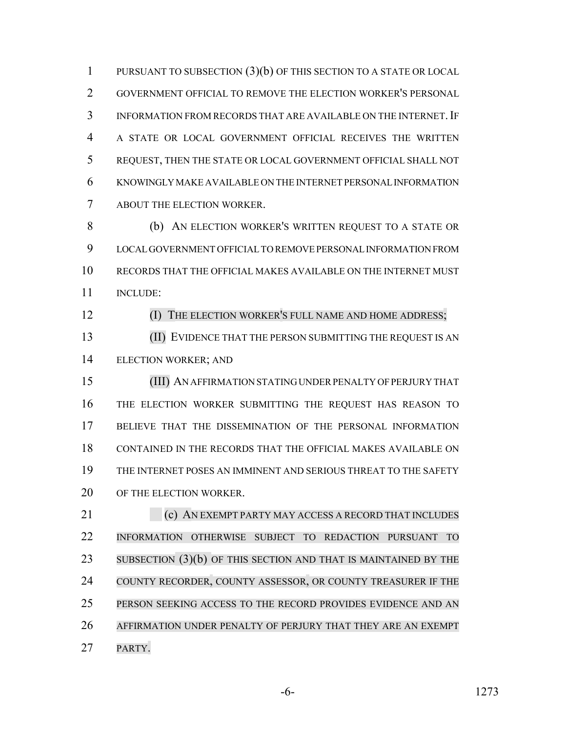PURSUANT TO SUBSECTION (3)(b) OF THIS SECTION TO A STATE OR LOCAL GOVERNMENT OFFICIAL TO REMOVE THE ELECTION WORKER'S PERSONAL INFORMATION FROM RECORDS THAT ARE AVAILABLE ON THE INTERNET.IF A STATE OR LOCAL GOVERNMENT OFFICIAL RECEIVES THE WRITTEN REQUEST, THEN THE STATE OR LOCAL GOVERNMENT OFFICIAL SHALL NOT KNOWINGLY MAKE AVAILABLE ON THE INTERNET PERSONAL INFORMATION ABOUT THE ELECTION WORKER.

 (b) AN ELECTION WORKER'S WRITTEN REQUEST TO A STATE OR LOCAL GOVERNMENT OFFICIAL TO REMOVE PERSONAL INFORMATION FROM RECORDS THAT THE OFFICIAL MAKES AVAILABLE ON THE INTERNET MUST INCLUDE:

### **(I) THE ELECTION WORKER'S FULL NAME AND HOME ADDRESS;**

 (II) EVIDENCE THAT THE PERSON SUBMITTING THE REQUEST IS AN ELECTION WORKER; AND

 (III) AN AFFIRMATION STATING UNDER PENALTY OF PERJURY THAT THE ELECTION WORKER SUBMITTING THE REQUEST HAS REASON TO BELIEVE THAT THE DISSEMINATION OF THE PERSONAL INFORMATION CONTAINED IN THE RECORDS THAT THE OFFICIAL MAKES AVAILABLE ON THE INTERNET POSES AN IMMINENT AND SERIOUS THREAT TO THE SAFETY 20 OF THE ELECTION WORKER.

**(c) AN EXEMPT PARTY MAY ACCESS A RECORD THAT INCLUDES**  INFORMATION OTHERWISE SUBJECT TO REDACTION PURSUANT TO 23 SUBSECTION (3)(b) OF THIS SECTION AND THAT IS MAINTAINED BY THE 24 COUNTY RECORDER, COUNTY ASSESSOR, OR COUNTY TREASURER IF THE PERSON SEEKING ACCESS TO THE RECORD PROVIDES EVIDENCE AND AN AFFIRMATION UNDER PENALTY OF PERJURY THAT THEY ARE AN EXEMPT PARTY.